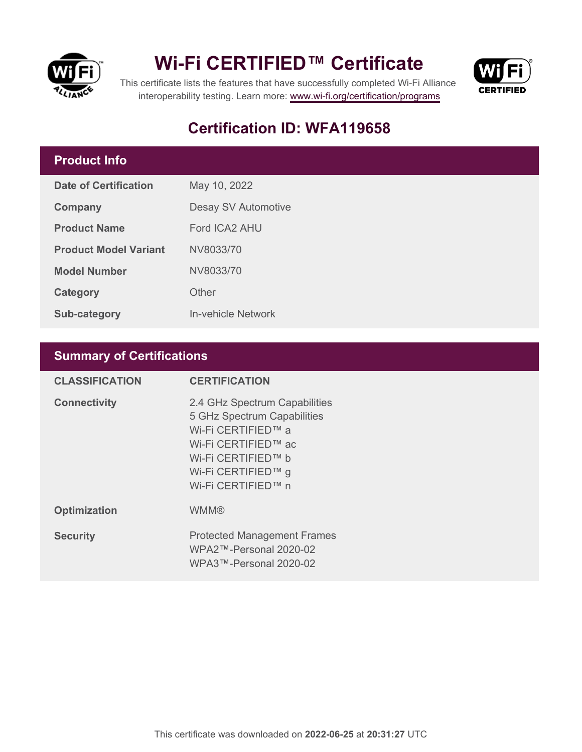

## **Wi-Fi CERTIFIED™ Certificate**



This certificate lists the features that have successfully completed Wi-Fi Alliance interoperability testing. Learn more:<www.wi-fi.org/certification/programs>

## **Certification ID: WFA119658**

### **Product Info**

| Date of Certification        | May 10, 2022        |  |
|------------------------------|---------------------|--|
| Company                      | Desay SV Automotive |  |
| <b>Product Name</b>          | Ford ICA2 AHU       |  |
| <b>Product Model Variant</b> | NV8033/70           |  |
| <b>Model Number</b>          | NV8033/70           |  |
| Category                     | Other               |  |
| <b>Sub-category</b>          | In-vehicle Network  |  |

### **Summary of Certifications**

| <b>CLASSIFICATION</b> | <b>CERTIFICATION</b>                                                                                                                                                        |
|-----------------------|-----------------------------------------------------------------------------------------------------------------------------------------------------------------------------|
| <b>Connectivity</b>   | 2.4 GHz Spectrum Capabilities<br>5 GHz Spectrum Capabilities<br>Wi-Fi CERTIFIED™ a<br>Wi-Fi CERTIFIED™ ac<br>Wi-Fi CERTIFIED™ b<br>Wi-Fi CERTIFIED™ g<br>Wi-Fi CERTIFIED™ n |
| <b>Optimization</b>   | <b>WMM®</b>                                                                                                                                                                 |
| <b>Security</b>       | <b>Protected Management Frames</b><br>$WPA2$ ™-Personal 2020-02<br>WPA3™-Personal 2020-02                                                                                   |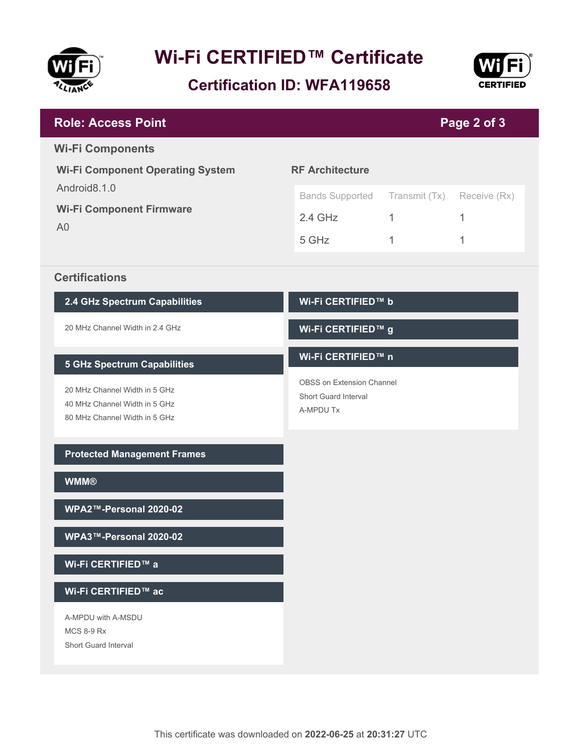

# **Wi-Fi CERTIFIED™ Certificate**

**Certification ID: WFA119658**



| <b>Role: Access Point</b>                         |                                          |               | Page 2 of 3  |  |
|---------------------------------------------------|------------------------------------------|---------------|--------------|--|
| <b>Wi-Fi Components</b>                           |                                          |               |              |  |
| <b>Wi-Fi Component Operating System</b>           | <b>RF Architecture</b>                   |               |              |  |
| Android8.1.0                                      | <b>Bands Supported</b>                   | Transmit (Tx) | Receive (Rx) |  |
| <b>Wi-Fi Component Firmware</b><br>A <sub>0</sub> | $2.4$ GHz                                | 1             | 1            |  |
|                                                   | 5 GHz                                    | 1             | 1            |  |
| <b>Certifications</b>                             |                                          |               |              |  |
| 2.4 GHz Spectrum Capabilities                     | Wi-Fi CERTIFIED™ b                       |               |              |  |
| 20 MHz Channel Width in 2.4 GHz                   | Wi-Fi CERTIFIED™ g                       |               |              |  |
| <b>5 GHz Spectrum Capabilities</b>                | Wi-Fi CERTIFIED™ n                       |               |              |  |
| 20 MHz Channel Width in 5 GHz                     | OBSS on Extension Channel                |               |              |  |
| 40 MHz Channel Width in 5 GHz                     | <b>Short Guard Interval</b><br>A-MPDU Tx |               |              |  |
| 80 MHz Channel Width in 5 GHz                     |                                          |               |              |  |
| <b>Protected Management Frames</b>                |                                          |               |              |  |
| <b>WMM®</b>                                       |                                          |               |              |  |
| WPA2™-Personal 2020-02                            |                                          |               |              |  |
| WPA3™-Personal 2020-02                            |                                          |               |              |  |
| Wi-Fi CERTIFIED™ a                                |                                          |               |              |  |
| Wi-Fi CERTIFIED™ ac                               |                                          |               |              |  |
| A-MPDU with A-MSDU                                |                                          |               |              |  |
| <b>MCS 8-9 Rx</b><br>Short Guard Interval         |                                          |               |              |  |